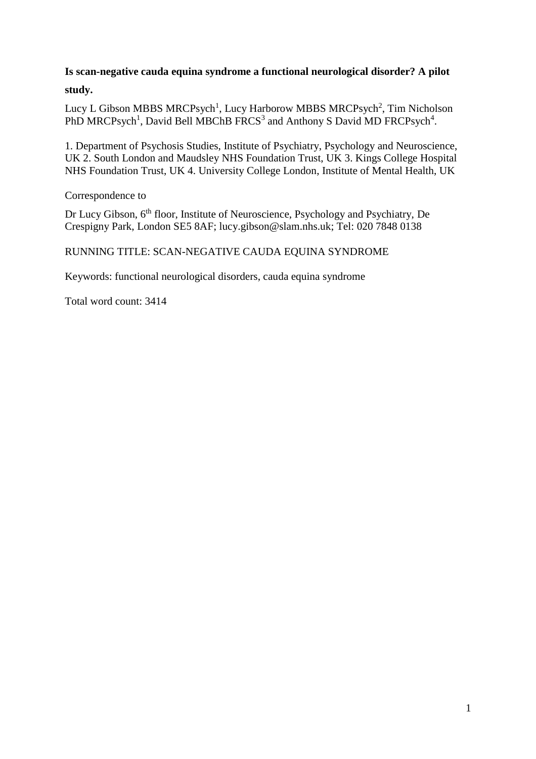# **Is scan-negative cauda equina syndrome a functional neurological disorder? A pilot study.**

Lucy L Gibson MBBS MRCPsych<sup>1</sup>, Lucy Harborow MBBS MRCPsych<sup>2</sup>, Tim Nicholson PhD MRCPsych<sup>1</sup>, David Bell MBChB FRCS<sup>3</sup> and Anthony S David MD FRCPsych<sup>4</sup>.

1. Department of Psychosis Studies, Institute of Psychiatry, Psychology and Neuroscience, UK 2. South London and Maudsley NHS Foundation Trust, UK 3. Kings College Hospital NHS Foundation Trust, UK 4. University College London, Institute of Mental Health, UK

Correspondence to

Dr Lucy Gibson, 6<sup>th</sup> floor, Institute of Neuroscience, Psychology and Psychiatry, De Crespigny Park, London SE5 8AF; lucy.gibson@slam.nhs.uk; Tel: 020 7848 0138

RUNNING TITLE: SCAN-NEGATIVE CAUDA EQUINA SYNDROME

Keywords: functional neurological disorders, cauda equina syndrome

Total word count: 3414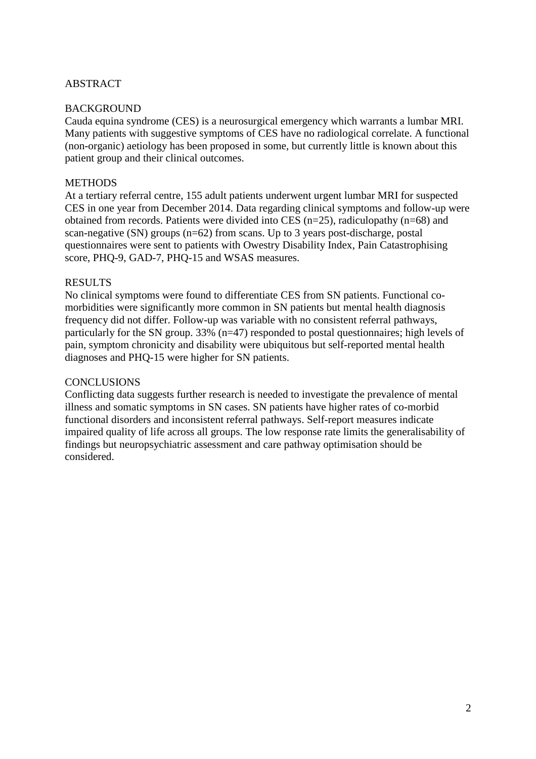# ABSTRACT

# BACKGROUND

Cauda equina syndrome (CES) is a neurosurgical emergency which warrants a lumbar MRI. Many patients with suggestive symptoms of CES have no radiological correlate. A functional (non-organic) aetiology has been proposed in some, but currently little is known about this patient group and their clinical outcomes.

# **METHODS**

At a tertiary referral centre, 155 adult patients underwent urgent lumbar MRI for suspected CES in one year from December 2014. Data regarding clinical symptoms and follow-up were obtained from records. Patients were divided into CES (n=25), radiculopathy (n=68) and scan-negative (SN) groups (n=62) from scans. Up to 3 years post-discharge, postal questionnaires were sent to patients with Owestry Disability Index, Pain Catastrophising score, PHQ-9, GAD-7, PHQ-15 and WSAS measures.

# RESULTS

No clinical symptoms were found to differentiate CES from SN patients. Functional comorbidities were significantly more common in SN patients but mental health diagnosis frequency did not differ. Follow-up was variable with no consistent referral pathways, particularly for the SN group. 33% (n=47) responded to postal questionnaires; high levels of pain, symptom chronicity and disability were ubiquitous but self-reported mental health diagnoses and PHQ-15 were higher for SN patients.

### **CONCLUSIONS**

Conflicting data suggests further research is needed to investigate the prevalence of mental illness and somatic symptoms in SN cases. SN patients have higher rates of co-morbid functional disorders and inconsistent referral pathways. Self-report measures indicate impaired quality of life across all groups. The low response rate limits the generalisability of findings but neuropsychiatric assessment and care pathway optimisation should be considered.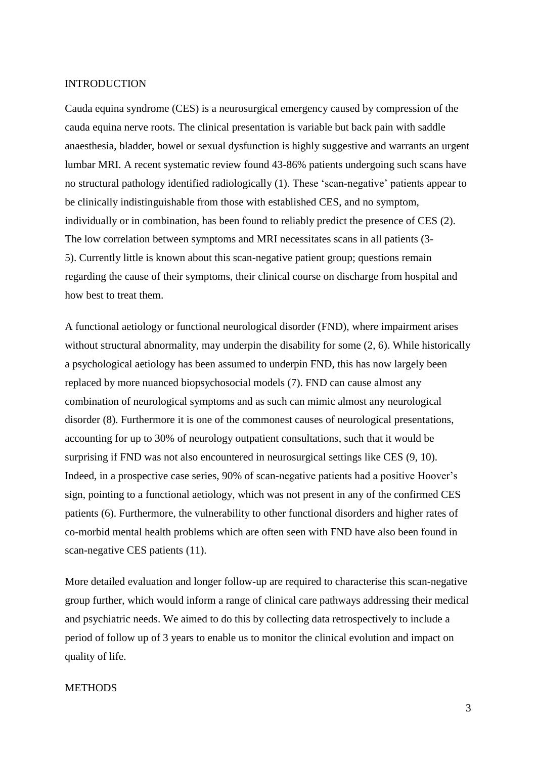#### INTRODUCTION

Cauda equina syndrome (CES) is a neurosurgical emergency caused by compression of the cauda equina nerve roots. The clinical presentation is variable but back pain with saddle anaesthesia, bladder, bowel or sexual dysfunction is highly suggestive and warrants an urgent lumbar MRI. A recent systematic review found 43-86% patients undergoing such scans have no structural pathology identified radiologically (1). These 'scan-negative' patients appear to be clinically indistinguishable from those with established CES, and no symptom, individually or in combination, has been found to reliably predict the presence of CES (2). The low correlation between symptoms and MRI necessitates scans in all patients (3- 5). Currently little is known about this scan-negative patient group; questions remain regarding the cause of their symptoms, their clinical course on discharge from hospital and how best to treat them.

A functional aetiology or functional neurological disorder (FND), where impairment arises without structural abnormality, may underpin the disability for some  $(2, 6)$ . While historically a psychological aetiology has been assumed to underpin FND, this has now largely been replaced by more nuanced biopsychosocial models (7). FND can cause almost any combination of neurological symptoms and as such can mimic almost any neurological disorder (8). Furthermore it is one of the commonest causes of neurological presentations, accounting for up to 30% of neurology outpatient consultations, such that it would be surprising if FND was not also encountered in neurosurgical settings like CES (9, 10). Indeed, in a prospective case series, 90% of scan-negative patients had a positive Hoover's sign, pointing to a functional aetiology, which was not present in any of the confirmed CES patients (6). Furthermore, the vulnerability to other functional disorders and higher rates of co-morbid mental health problems which are often seen with FND have also been found in scan-negative CES patients (11).

More detailed evaluation and longer follow-up are required to characterise this scan-negative group further, which would inform a range of clinical care pathways addressing their medical and psychiatric needs. We aimed to do this by collecting data retrospectively to include a period of follow up of 3 years to enable us to monitor the clinical evolution and impact on quality of life.

# **METHODS**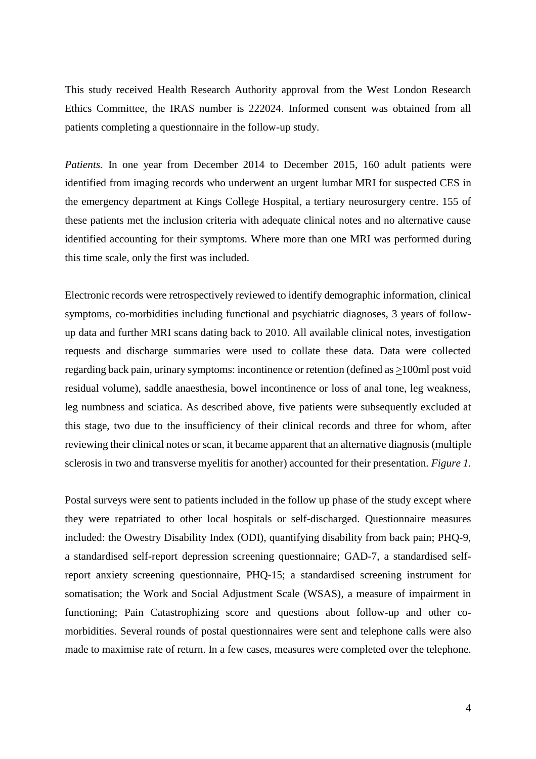This study received Health Research Authority approval from the West London Research Ethics Committee, the IRAS number is 222024. Informed consent was obtained from all patients completing a questionnaire in the follow-up study.

*Patients.* In one year from December 2014 to December 2015, 160 adult patients were identified from imaging records who underwent an urgent lumbar MRI for suspected CES in the emergency department at Kings College Hospital, a tertiary neurosurgery centre. 155 of these patients met the inclusion criteria with adequate clinical notes and no alternative cause identified accounting for their symptoms. Where more than one MRI was performed during this time scale, only the first was included.

Electronic records were retrospectively reviewed to identify demographic information, clinical symptoms, co-morbidities including functional and psychiatric diagnoses, 3 years of followup data and further MRI scans dating back to 2010. All available clinical notes, investigation requests and discharge summaries were used to collate these data. Data were collected regarding back pain, urinary symptoms: incontinence or retention (defined as >100ml post void residual volume), saddle anaesthesia, bowel incontinence or loss of anal tone, leg weakness, leg numbness and sciatica. As described above, five patients were subsequently excluded at this stage, two due to the insufficiency of their clinical records and three for whom, after reviewing their clinical notes or scan, it became apparent that an alternative diagnosis (multiple sclerosis in two and transverse myelitis for another) accounted for their presentation. *Figure 1.*

Postal surveys were sent to patients included in the follow up phase of the study except where they were repatriated to other local hospitals or self-discharged. Questionnaire measures included: the Owestry Disability Index (ODI), quantifying disability from back pain; PHQ-9, a standardised self-report depression screening questionnaire; GAD-7, a standardised selfreport anxiety screening questionnaire, PHQ-15; a standardised screening instrument for somatisation; the Work and Social Adjustment Scale (WSAS), a measure of impairment in functioning; Pain Catastrophizing score and questions about follow-up and other comorbidities. Several rounds of postal questionnaires were sent and telephone calls were also made to maximise rate of return. In a few cases, measures were completed over the telephone.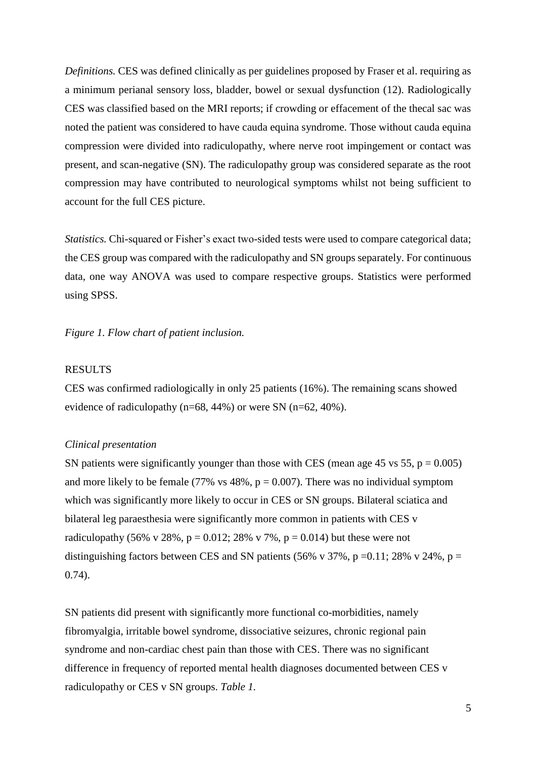*Definitions.* CES was defined clinically as per guidelines proposed by Fraser et al. requiring as a minimum perianal sensory loss, bladder, bowel or sexual dysfunction (12). Radiologically CES was classified based on the MRI reports; if crowding or effacement of the thecal sac was noted the patient was considered to have cauda equina syndrome. Those without cauda equina compression were divided into radiculopathy, where nerve root impingement or contact was present, and scan-negative (SN). The radiculopathy group was considered separate as the root compression may have contributed to neurological symptoms whilst not being sufficient to account for the full CES picture.

*Statistics.* Chi-squared or Fisher's exact two-sided tests were used to compare categorical data; the CES group was compared with the radiculopathy and SN groups separately. For continuous data, one way ANOVA was used to compare respective groups. Statistics were performed using SPSS.

*Figure 1. Flow chart of patient inclusion.* 

### RESULTS

CES was confirmed radiologically in only 25 patients (16%). The remaining scans showed evidence of radiculopathy (n=68, 44%) or were SN (n=62, 40%).

#### *Clinical presentation*

SN patients were significantly younger than those with CES (mean age 45 vs 55,  $p = 0.005$ ) and more likely to be female (77% vs  $48\%$ ,  $p = 0.007$ ). There was no individual symptom which was significantly more likely to occur in CES or SN groups. Bilateral sciatica and bilateral leg paraesthesia were significantly more common in patients with CES v radiculopathy (56% v 28%, p = 0.012; 28% v 7%, p = 0.014) but these were not distinguishing factors between CES and SN patients (56% v 37%, p =0.11; 28% v 24%, p = 0.74).

SN patients did present with significantly more functional co-morbidities, namely fibromyalgia, irritable bowel syndrome, dissociative seizures, chronic regional pain syndrome and non-cardiac chest pain than those with CES. There was no significant difference in frequency of reported mental health diagnoses documented between CES v radiculopathy or CES v SN groups. *Table 1.*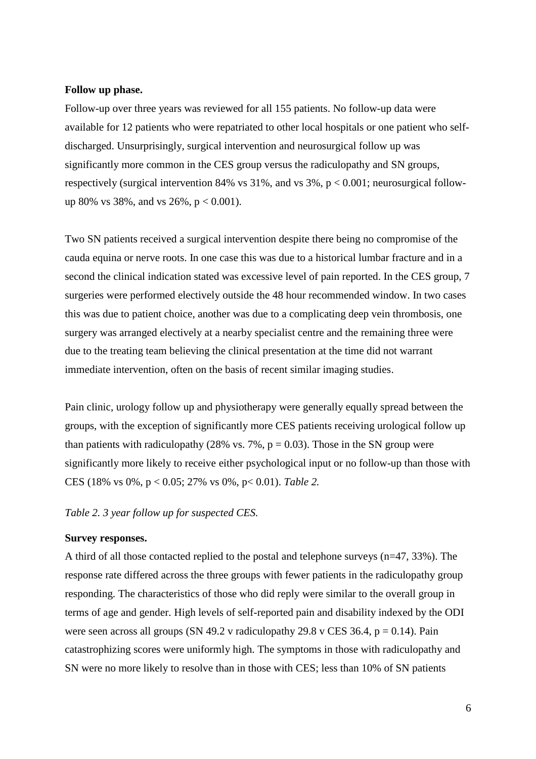#### **Follow up phase.**

Follow-up over three years was reviewed for all 155 patients. No follow-up data were available for 12 patients who were repatriated to other local hospitals or one patient who selfdischarged. Unsurprisingly, surgical intervention and neurosurgical follow up was significantly more common in the CES group versus the radiculopathy and SN groups, respectively (surgical intervention 84% vs  $31\%$ , and vs  $3\%$ ,  $p < 0.001$ ; neurosurgical followup 80% vs 38%, and vs 26%,  $p < 0.001$ ).

Two SN patients received a surgical intervention despite there being no compromise of the cauda equina or nerve roots. In one case this was due to a historical lumbar fracture and in a second the clinical indication stated was excessive level of pain reported. In the CES group, 7 surgeries were performed electively outside the 48 hour recommended window. In two cases this was due to patient choice, another was due to a complicating deep vein thrombosis, one surgery was arranged electively at a nearby specialist centre and the remaining three were due to the treating team believing the clinical presentation at the time did not warrant immediate intervention, often on the basis of recent similar imaging studies.

Pain clinic, urology follow up and physiotherapy were generally equally spread between the groups, with the exception of significantly more CES patients receiving urological follow up than patients with radiculopathy (28% vs. 7%,  $p = 0.03$ ). Those in the SN group were significantly more likely to receive either psychological input or no follow-up than those with CES (18% vs 0%, p < 0.05; 27% vs 0%, p< 0.01). *Table 2.*

*Table 2. 3 year follow up for suspected CES.* 

# **Survey responses.**

A third of all those contacted replied to the postal and telephone surveys (n=47, 33%). The response rate differed across the three groups with fewer patients in the radiculopathy group responding. The characteristics of those who did reply were similar to the overall group in terms of age and gender. High levels of self-reported pain and disability indexed by the ODI were seen across all groups (SN 49.2 v radiculopathy 29.8 v CES 36.4,  $p = 0.14$ ). Pain catastrophizing scores were uniformly high. The symptoms in those with radiculopathy and SN were no more likely to resolve than in those with CES; less than 10% of SN patients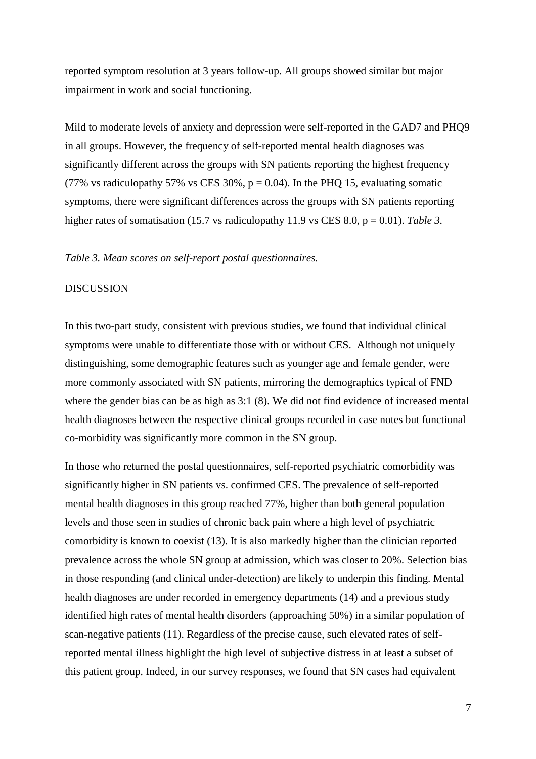reported symptom resolution at 3 years follow-up. All groups showed similar but major impairment in work and social functioning.

Mild to moderate levels of anxiety and depression were self-reported in the GAD7 and PHQ9 in all groups. However, the frequency of self-reported mental health diagnoses was significantly different across the groups with SN patients reporting the highest frequency (77% vs radiculopathy 57% vs CES 30%,  $p = 0.04$ ). In the PHQ 15, evaluating somatic symptoms, there were significant differences across the groups with SN patients reporting higher rates of somatisation (15.7 vs radiculopathy 11.9 vs CES 8.0, p = 0.01). *Table 3*.

#### *Table 3. Mean scores on self-report postal questionnaires.*

#### DISCUSSION

In this two-part study, consistent with previous studies, we found that individual clinical symptoms were unable to differentiate those with or without CES. Although not uniquely distinguishing, some demographic features such as younger age and female gender, were more commonly associated with SN patients, mirroring the demographics typical of FND where the gender bias can be as high as 3:1 (8). We did not find evidence of increased mental health diagnoses between the respective clinical groups recorded in case notes but functional co-morbidity was significantly more common in the SN group.

In those who returned the postal questionnaires, self-reported psychiatric comorbidity was significantly higher in SN patients vs. confirmed CES. The prevalence of self-reported mental health diagnoses in this group reached 77%, higher than both general population levels and those seen in studies of chronic back pain where a high level of psychiatric comorbidity is known to coexist (13). It is also markedly higher than the clinician reported prevalence across the whole SN group at admission, which was closer to 20%. Selection bias in those responding (and clinical under-detection) are likely to underpin this finding. Mental health diagnoses are under recorded in emergency departments (14) and a previous study identified high rates of mental health disorders (approaching 50%) in a similar population of scan-negative patients (11). Regardless of the precise cause, such elevated rates of selfreported mental illness highlight the high level of subjective distress in at least a subset of this patient group. Indeed, in our survey responses, we found that SN cases had equivalent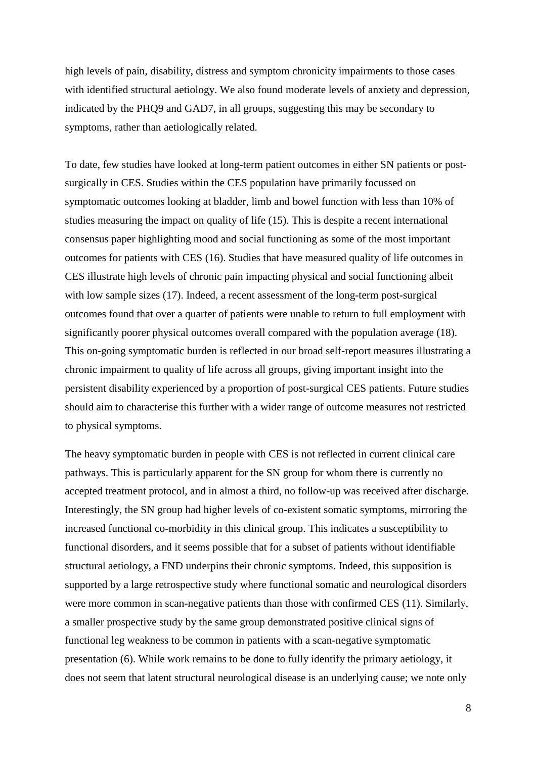high levels of pain, disability, distress and symptom chronicity impairments to those cases with identified structural aetiology. We also found moderate levels of anxiety and depression, indicated by the PHQ9 and GAD7, in all groups, suggesting this may be secondary to symptoms, rather than aetiologically related.

To date, few studies have looked at long-term patient outcomes in either SN patients or postsurgically in CES. Studies within the CES population have primarily focussed on symptomatic outcomes looking at bladder, limb and bowel function with less than 10% of studies measuring the impact on quality of life (15). This is despite a recent international consensus paper highlighting mood and social functioning as some of the most important outcomes for patients with CES (16). Studies that have measured quality of life outcomes in CES illustrate high levels of chronic pain impacting physical and social functioning albeit with low sample sizes (17). Indeed, a recent assessment of the long-term post-surgical outcomes found that over a quarter of patients were unable to return to full employment with significantly poorer physical outcomes overall compared with the population average (18). This on-going symptomatic burden is reflected in our broad self-report measures illustrating a chronic impairment to quality of life across all groups, giving important insight into the persistent disability experienced by a proportion of post-surgical CES patients. Future studies should aim to characterise this further with a wider range of outcome measures not restricted to physical symptoms.

The heavy symptomatic burden in people with CES is not reflected in current clinical care pathways. This is particularly apparent for the SN group for whom there is currently no accepted treatment protocol, and in almost a third, no follow-up was received after discharge. Interestingly, the SN group had higher levels of co-existent somatic symptoms, mirroring the increased functional co-morbidity in this clinical group. This indicates a susceptibility to functional disorders, and it seems possible that for a subset of patients without identifiable structural aetiology, a FND underpins their chronic symptoms. Indeed, this supposition is supported by a large retrospective study where functional somatic and neurological disorders were more common in scan-negative patients than those with confirmed CES (11). Similarly, a smaller prospective study by the same group demonstrated positive clinical signs of functional leg weakness to be common in patients with a scan-negative symptomatic presentation (6). While work remains to be done to fully identify the primary aetiology, it does not seem that latent structural neurological disease is an underlying cause; we note only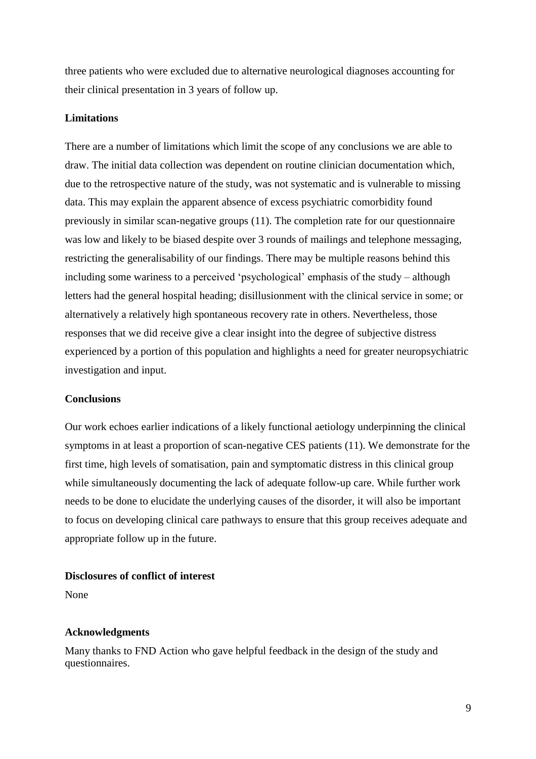three patients who were excluded due to alternative neurological diagnoses accounting for their clinical presentation in 3 years of follow up.

#### **Limitations**

There are a number of limitations which limit the scope of any conclusions we are able to draw. The initial data collection was dependent on routine clinician documentation which, due to the retrospective nature of the study, was not systematic and is vulnerable to missing data. This may explain the apparent absence of excess psychiatric comorbidity found previously in similar scan-negative groups (11). The completion rate for our questionnaire was low and likely to be biased despite over 3 rounds of mailings and telephone messaging, restricting the generalisability of our findings. There may be multiple reasons behind this including some wariness to a perceived 'psychological' emphasis of the study – although letters had the general hospital heading; disillusionment with the clinical service in some; or alternatively a relatively high spontaneous recovery rate in others. Nevertheless, those responses that we did receive give a clear insight into the degree of subjective distress experienced by a portion of this population and highlights a need for greater neuropsychiatric investigation and input.

#### **Conclusions**

Our work echoes earlier indications of a likely functional aetiology underpinning the clinical symptoms in at least a proportion of scan-negative CES patients (11). We demonstrate for the first time, high levels of somatisation, pain and symptomatic distress in this clinical group while simultaneously documenting the lack of adequate follow-up care. While further work needs to be done to elucidate the underlying causes of the disorder, it will also be important to focus on developing clinical care pathways to ensure that this group receives adequate and appropriate follow up in the future.

# **Disclosures of conflict of interest**

None

#### **Acknowledgments**

Many thanks to FND Action who gave helpful feedback in the design of the study and questionnaires.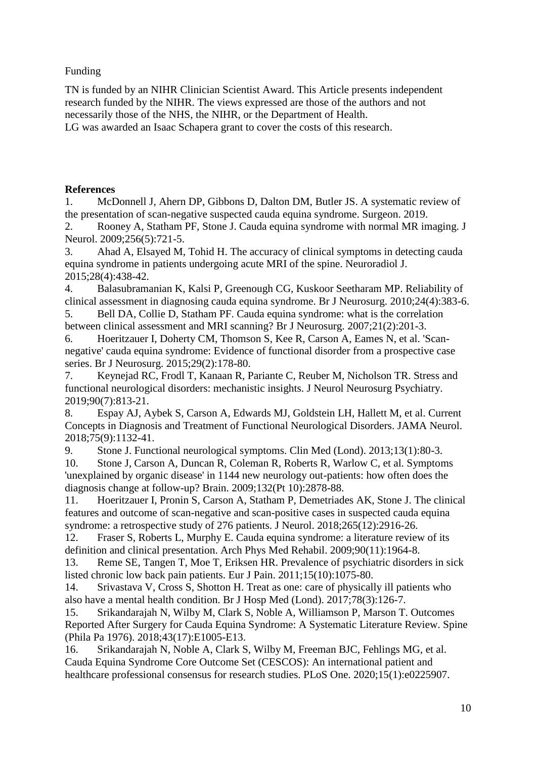# Funding

TN is funded by an NIHR Clinician Scientist Award. This Article presents independent research funded by the NIHR. The views expressed are those of the authors and not necessarily those of the NHS, the NIHR, or the Department of Health. LG was awarded an Isaac Schapera grant to cover the costs of this research.

# **References**

1. McDonnell J, Ahern DP, Gibbons D, Dalton DM, Butler JS. A systematic review of the presentation of scan-negative suspected cauda equina syndrome. Surgeon. 2019.

2. Rooney A, Statham PF, Stone J. Cauda equina syndrome with normal MR imaging. J Neurol. 2009;256(5):721-5.

3. Ahad A, Elsayed M, Tohid H. The accuracy of clinical symptoms in detecting cauda equina syndrome in patients undergoing acute MRI of the spine. Neuroradiol J. 2015;28(4):438-42.

4. Balasubramanian K, Kalsi P, Greenough CG, Kuskoor Seetharam MP. Reliability of clinical assessment in diagnosing cauda equina syndrome. Br J Neurosurg. 2010;24(4):383-6.

5. Bell DA, Collie D, Statham PF. Cauda equina syndrome: what is the correlation between clinical assessment and MRI scanning? Br J Neurosurg. 2007;21(2):201-3.

6. Hoeritzauer I, Doherty CM, Thomson S, Kee R, Carson A, Eames N, et al. 'Scannegative' cauda equina syndrome: Evidence of functional disorder from a prospective case series. Br J Neurosurg. 2015;29(2):178-80.

7. Keynejad RC, Frodl T, Kanaan R, Pariante C, Reuber M, Nicholson TR. Stress and functional neurological disorders: mechanistic insights. J Neurol Neurosurg Psychiatry. 2019;90(7):813-21.

8. Espay AJ, Aybek S, Carson A, Edwards MJ, Goldstein LH, Hallett M, et al. Current Concepts in Diagnosis and Treatment of Functional Neurological Disorders. JAMA Neurol. 2018;75(9):1132-41.

9. Stone J. Functional neurological symptoms. Clin Med (Lond). 2013;13(1):80-3.

10. Stone J, Carson A, Duncan R, Coleman R, Roberts R, Warlow C, et al. Symptoms 'unexplained by organic disease' in 1144 new neurology out-patients: how often does the diagnosis change at follow-up? Brain. 2009;132(Pt 10):2878-88.

11. Hoeritzauer I, Pronin S, Carson A, Statham P, Demetriades AK, Stone J. The clinical features and outcome of scan-negative and scan-positive cases in suspected cauda equina syndrome: a retrospective study of 276 patients. J Neurol. 2018;265(12):2916-26.

12. Fraser S, Roberts L, Murphy E. Cauda equina syndrome: a literature review of its definition and clinical presentation. Arch Phys Med Rehabil. 2009;90(11):1964-8.

13. Reme SE, Tangen T, Moe T, Eriksen HR. Prevalence of psychiatric disorders in sick listed chronic low back pain patients. Eur J Pain. 2011;15(10):1075-80.

14. Srivastava V, Cross S, Shotton H. Treat as one: care of physically ill patients who also have a mental health condition. Br J Hosp Med (Lond). 2017;78(3):126-7.

15. Srikandarajah N, Wilby M, Clark S, Noble A, Williamson P, Marson T. Outcomes Reported After Surgery for Cauda Equina Syndrome: A Systematic Literature Review. Spine (Phila Pa 1976). 2018;43(17):E1005-E13.

16. Srikandarajah N, Noble A, Clark S, Wilby M, Freeman BJC, Fehlings MG, et al. Cauda Equina Syndrome Core Outcome Set (CESCOS): An international patient and healthcare professional consensus for research studies. PLoS One. 2020;15(1):e0225907.